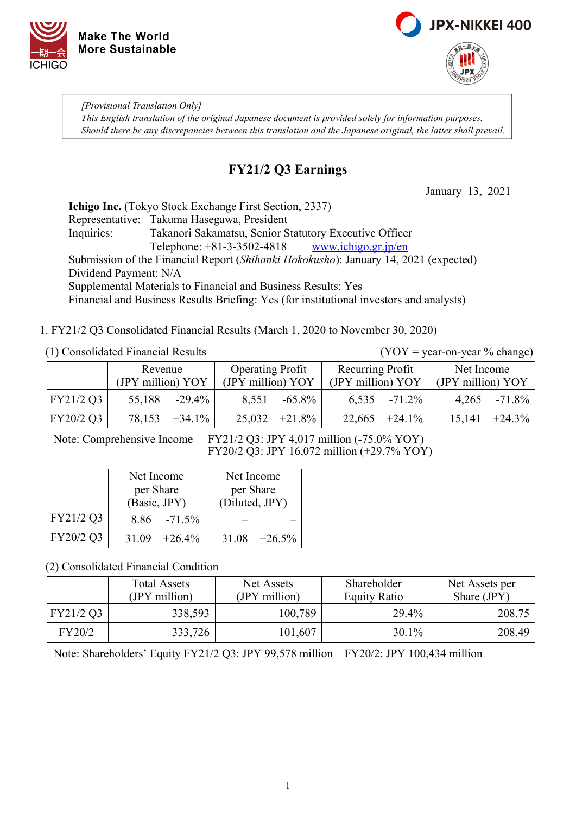



*[Provisional Translation Only] This English translation of the original Japanese document is provided solely for information purposes. Should there be any discrepancies between this translation and the Japanese original, the latter shall prevail.*

## **FY21/2 Q3 Earnings**

January 13, 2021

**Ichigo Inc.** (Tokyo Stock Exchange First Section, 2337) Representative: Takuma Hasegawa, President Inquiries: Takanori Sakamatsu, Senior Statutory Executive Officer Telephone: +81-3-3502-4818 [www.ichigo.gr.jp/en](https://www.ichigo.gr.jp/en) Submission of the Financial Report (*Shihanki Hokokusho*): January 14, 2021 (expected) Dividend Payment: N/A Supplemental Materials to Financial and Business Results: Yes Financial and Business Results Briefing: Yes (for institutional investors and analysts)

1. FY21/2 Q3 Consolidated Financial Results (March 1, 2020 to November 30, 2020)

#### (1) Consolidated Financial Results (YOY = year-on-year % change)

|           | Revenue           |           | <b>Operating Profit</b> |                  | Recurring Profit  |                 | Net Income        |                   |
|-----------|-------------------|-----------|-------------------------|------------------|-------------------|-----------------|-------------------|-------------------|
|           | (JPY million) YOY |           | (JPY million) YOY       |                  | (JPY million) YOY |                 | (JPY million) YOY |                   |
| FY21/2 Q3 | 55,188            | $-29.4\%$ | 8,551                   | $-65.8\%$        | 6,535             | $-71.2\%$       | 4,265             | $-71.8\%$         |
| FY20/2 Q3 | 78,153            | $+34.1\%$ |                         | $25,032 +21.8\%$ |                   | $22,665$ +24.1% |                   | $15.141 + 24.3\%$ |

Note: Comprehensive Income FY21/2 Q3: JPY 4,017 million (-75.0% YOY) FY20/2 Q3: JPY 16,072 million (+29.7% YOY)

|           | Net Income<br>per Share | Net Income<br>per Share |  |
|-----------|-------------------------|-------------------------|--|
|           | (Basic, JPY)            | (Diluted, JPY)          |  |
| FY21/2 Q3 | $8.86 - 71.5\%$         |                         |  |
| FY20/2 Q3 | $31.09 +26.4\%$         | $31.08 + 26.5\%$        |  |

(2) Consolidated Financial Condition

|           | <b>Total Assets</b><br>(JPY million) | Net Assets<br>(JPY million) | Shareholder<br><b>Equity Ratio</b> | Net Assets per<br>Share $(IPY)$ |
|-----------|--------------------------------------|-----------------------------|------------------------------------|---------------------------------|
| FY21/2 Q3 | 338,593                              | 100,789                     | 29.4%                              | 208.75                          |
| FY20/2    | 333,726                              | 101,607                     | $30.1\%$                           | 208.49                          |

Note: Shareholders' Equity FY21/2 Q3: JPY 99,578 million FY20/2: JPY 100,434 million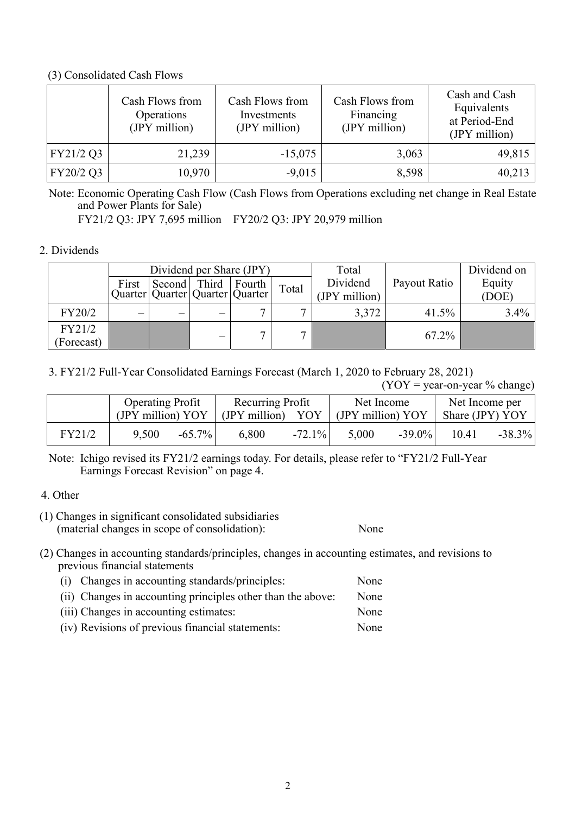### (3) Consolidated Cash Flows

|           | Cash Flows from<br>Operations<br>(JPY million) | Cash Flows from<br>Investments<br>(JPY million) | Cash Flows from<br>Financing<br>(JPY million) | Cash and Cash<br>Equivalents<br>at Period-End<br>(JPY million) |
|-----------|------------------------------------------------|-------------------------------------------------|-----------------------------------------------|----------------------------------------------------------------|
| FY21/2 Q3 | 21,239                                         | $-15,075$                                       | 3,063                                         | 49,815                                                         |
| FY20/2 Q3 | 10,970                                         | $-9,015$                                        | 8,598                                         | 40,213                                                         |

Note: Economic Operating Cash Flow (Cash Flows from Operations excluding net change in Real Estate and Power Plants for Sale)

FY21/2 Q3: JPY 7,695 million FY20/2 Q3: JPY 20,979 million

### 2. Dividends

|            |         |                                       | Dividend per Share (JPY) |       | Total         |              | Dividend on |
|------------|---------|---------------------------------------|--------------------------|-------|---------------|--------------|-------------|
|            | First   |                                       | Second   Third   Fourth  | Total | Dividend      | Payout Ratio | Equity      |
|            |         | Quarter   Quarter   Quarter   Quarter |                          |       | (JPY million) |              | (DOE)       |
| FY20/2     | —<br>—— | $\overline{\phantom{0}}$              |                          |       | 3,372         | 41.5%        | $3.4\%$     |
| FY21/2     |         |                                       |                          | ┍     |               | 67.2%        |             |
| (Forecast) |         |                                       |                          |       |               |              |             |

3. FY21/2 Full-Year Consolidated Earnings Forecast (March 1, 2020 to February 28, 2021)

 $(YOY = year-on-year \% change)$ 

|        | <b>Operating Profit</b> |           | Recurring Profit  |           | Net Income        |           | Net Income per  |           |
|--------|-------------------------|-----------|-------------------|-----------|-------------------|-----------|-----------------|-----------|
|        | (JPY million) YOY       |           | (JPY million) YOY |           | (JPY million) YOY |           | Share (JPY) YOY |           |
| FY21/2 | 9,500                   | $-65.7\%$ | 6,800             | $-72.1\%$ | 5,000             | $-39.0\%$ | 10.41           | $-38.3\%$ |

Note: Ichigo revised its FY21/2 earnings today. For details, please refer to "FY21/2 Full-Year Earnings Forecast Revision" on page 4.

### 4. Other

- (1) Changes in significant consolidated subsidiaries (material changes in scope of consolidation): None
- (2) Changes in accounting standards/principles, changes in accounting estimates, and revisions to previous financial statements

| (i) Changes in accounting standards/principles:             | None |
|-------------------------------------------------------------|------|
| (ii) Changes in accounting principles other than the above: | None |
| (iii) Changes in accounting estimates:                      | None |
| (iv) Revisions of previous financial statements:            | None |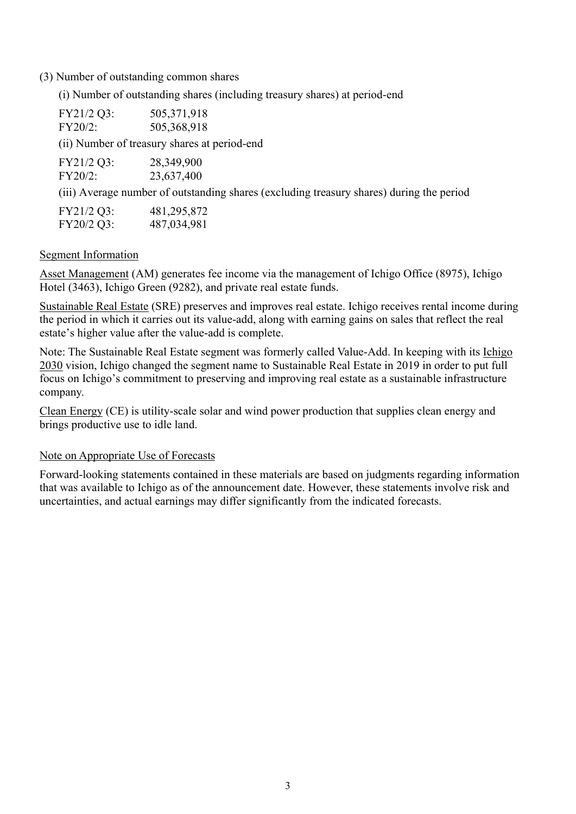(3) Number of outstanding common shares

(i) Number of outstanding shares (including treasury shares) at period-end

| FY21/2 Q3: | 505,371,918                                                                              |
|------------|------------------------------------------------------------------------------------------|
| $FY20/2$ : | 505,368,918                                                                              |
|            | (ii) Number of treasury shares at period-end                                             |
| FY21/2 Q3: | 28,349,900                                                                               |
| $FY20/2$ : | 23,637,400                                                                               |
|            | (iii) Average number of outstanding shares (excluding treasury shares) during the period |
|            |                                                                                          |

| FY21/2 Q3: | 481,295,872 |
|------------|-------------|
| FY20/2 Q3: | 487,034,981 |

### Segment Information

Asset Management (AM) generates fee income via the management of Ichigo Office (8975), Ichigo Hotel (3463), Ichigo Green (9282), and private real estate funds.

Sustainable Real Estate (SRE) preserves and improves real estate. Ichigo receives rental income during the period in which it carries out its value-add, along with earning gains on sales that reflect the real estate's higher value after the value-add is complete.

Note: The Sustainable Real Estate segment was formerly called Value-Add. In keeping with its Ichigo 2030 vision, Ichigo changed the segment name to Sustainable Real Estate in 2019 in order to put full focus on Ichigo's commitment to preserving and improving real estate as a sustainable infrastructure company.

Clean Energy (CE) is utility-scale solar and wind power production that supplies clean energy and brings productive use to idle land.

### Note on Appropriate Use of Forecasts

Forward-looking statements contained in these materials are based on judgments regarding information that was available to Ichigo as of the announcement date. However, these statements involve risk and uncertainties, and actual earnings may differ significantly from the indicated forecasts.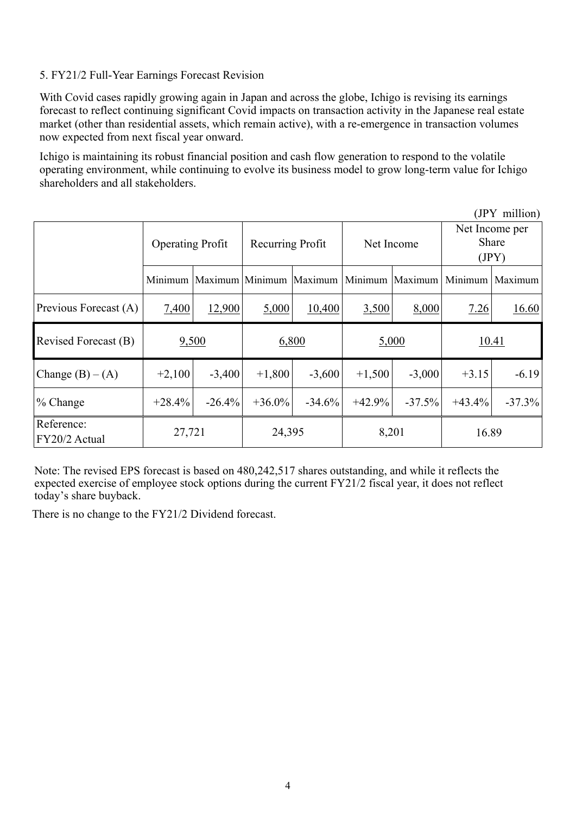### 5. FY21/2 Full-Year Earnings Forecast Revision

With Covid cases rapidly growing again in Japan and across the globe, Ichigo is revising its earnings forecast to reflect continuing significant Covid impacts on transaction activity in the Japanese real estate market (other than residential assets, which remain active), with a re-emergence in transaction volumes now expected from next fiscal year onward.

Ichigo is maintaining its robust financial position and cash flow generation to respond to the volatile operating environment, while continuing to evolve its business model to grow long-term value for Ichigo shareholders and all stakeholders.

(JPY million)

|                             | <b>Operating Profit</b> |          | Recurring Profit                |          | Net Income |                         | Net Income per<br>Share<br>(IPY) |          |
|-----------------------------|-------------------------|----------|---------------------------------|----------|------------|-------------------------|----------------------------------|----------|
|                             |                         |          | Minimum Maximum Minimum Maximum |          |            | Minimum Maximum Minimum |                                  | Maximum  |
| Previous Forecast (A)       | 7,400                   | 12,900   | 5,000                           | 10,400   | 3,500      | 8,000                   | 7.26                             | 16.60    |
| Revised Forecast (B)        | 9,500                   |          | 6,800                           |          | 5,000      |                         | 10.41                            |          |
| Change $(B) - (A)$          | $+2,100$                | $-3,400$ | $+1,800$                        | $-3,600$ | $+1,500$   | $-3,000$                | $+3.15$                          | $-6.19$  |
| % Change                    | $+28.4%$                | $-26.4%$ | $+36.0\%$                       | $-34.6%$ | $+42.9%$   | $-37.5%$                | $+43.4%$                         | $-37.3%$ |
| Reference:<br>FY20/2 Actual | 27,721                  |          | 24,395                          |          | 8,201      |                         | 16.89                            |          |

Note: The revised EPS forecast is based on 480,242,517 shares outstanding, and while it reflects the expected exercise of employee stock options during the current FY21/2 fiscal year, it does not reflect today's share buyback.

There is no change to the FY21/2 Dividend forecast.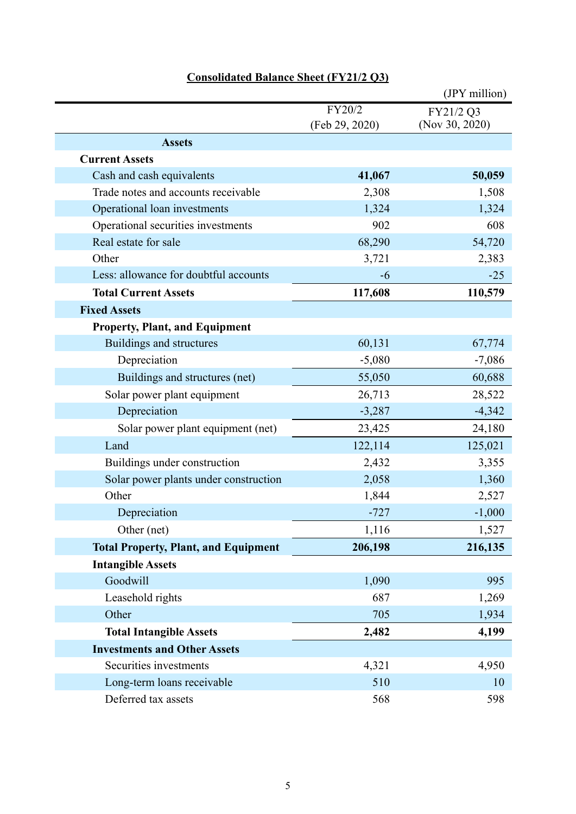|                                             |                | (JPY million)  |
|---------------------------------------------|----------------|----------------|
|                                             | FY20/2         | FY21/2 Q3      |
|                                             | (Feb 29, 2020) | (Nov 30, 2020) |
| <b>Assets</b>                               |                |                |
| <b>Current Assets</b>                       |                |                |
| Cash and cash equivalents                   | 41,067         | 50,059         |
| Trade notes and accounts receivable         | 2,308          | 1,508          |
| Operational loan investments                | 1,324          | 1,324          |
| Operational securities investments          | 902            | 608            |
| Real estate for sale                        | 68,290         | 54,720         |
| Other                                       | 3,721          | 2,383          |
| Less: allowance for doubtful accounts       | -6             | $-25$          |
| <b>Total Current Assets</b>                 | 117,608        | 110,579        |
| <b>Fixed Assets</b>                         |                |                |
| <b>Property, Plant, and Equipment</b>       |                |                |
| Buildings and structures                    | 60,131         | 67,774         |
| Depreciation                                | $-5,080$       | $-7,086$       |
| Buildings and structures (net)              | 55,050         | 60,688         |
| Solar power plant equipment                 | 26,713         | 28,522         |
| Depreciation                                | $-3,287$       | $-4,342$       |
| Solar power plant equipment (net)           | 23,425         | 24,180         |
| Land                                        | 122,114        | 125,021        |
| Buildings under construction                | 2,432          | 3,355          |
| Solar power plants under construction       | 2,058          | 1,360          |
| Other                                       | 1,844          | 2,527          |
| Depreciation                                | $-727$         | $-1,000$       |
| Other (net)                                 | 1,116          | 1,527          |
| <b>Total Property, Plant, and Equipment</b> | 206,198        | 216,135        |
| <b>Intangible Assets</b>                    |                |                |
| Goodwill                                    | 1,090          | 995            |
| Leasehold rights                            | 687            | 1,269          |
| Other                                       | 705            | 1,934          |
| <b>Total Intangible Assets</b>              | 2,482          | 4,199          |
| <b>Investments and Other Assets</b>         |                |                |
| Securities investments                      | 4,321          | 4,950          |
| Long-term loans receivable                  | 510            | 10             |
| Deferred tax assets                         | 568            | 598            |

## **Consolidated Balance Sheet (FY21/2 Q3)**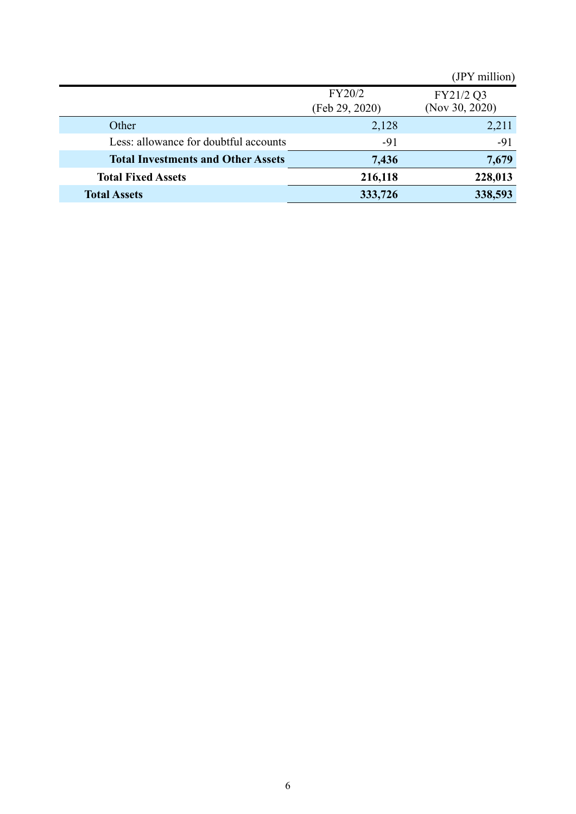|                                           |                | (JPY million)  |
|-------------------------------------------|----------------|----------------|
|                                           | FY20/2         | FY21/2 Q3      |
|                                           | (Feb 29, 2020) | (Nov 30, 2020) |
| Other                                     | 2,128          | 2,211          |
| Less: allowance for doubtful accounts     | $-91$          | $-91$          |
| <b>Total Investments and Other Assets</b> | 7,436          | 7,679          |
| <b>Total Fixed Assets</b>                 | 216,118        | 228,013        |
| <b>Total Assets</b>                       | 333,726        | 338,593        |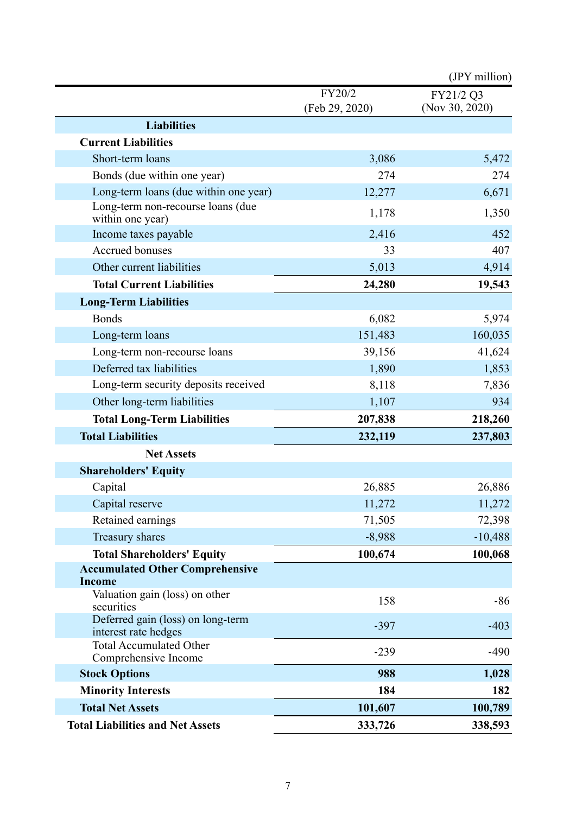|                                                           |                          | (JPY million)               |  |
|-----------------------------------------------------------|--------------------------|-----------------------------|--|
|                                                           | FY20/2<br>(Feb 29, 2020) | FY21/2 Q3<br>(Nov 30, 2020) |  |
| <b>Liabilities</b>                                        |                          |                             |  |
| <b>Current Liabilities</b>                                |                          |                             |  |
| Short-term loans                                          | 3,086                    | 5,472                       |  |
| Bonds (due within one year)                               | 274                      | 274                         |  |
| Long-term loans (due within one year)                     | 12,277                   | 6,671                       |  |
| Long-term non-recourse loans (due<br>within one year)     | 1,178                    | 1,350                       |  |
| Income taxes payable                                      | 2,416                    | 452                         |  |
| Accrued bonuses                                           | 33                       | 407                         |  |
| Other current liabilities                                 | 5,013                    | 4,914                       |  |
| <b>Total Current Liabilities</b>                          | 24,280                   | 19,543                      |  |
| <b>Long-Term Liabilities</b>                              |                          |                             |  |
| <b>Bonds</b>                                              | 6,082                    | 5,974                       |  |
| Long-term loans                                           | 151,483                  | 160,035                     |  |
| Long-term non-recourse loans                              | 39,156                   | 41,624                      |  |
| Deferred tax liabilities                                  | 1,890                    | 1,853                       |  |
| Long-term security deposits received                      | 7,836<br>8,118           |                             |  |
| Other long-term liabilities                               | 934<br>1,107             |                             |  |
| <b>Total Long-Term Liabilities</b>                        | 207,838<br>218,260       |                             |  |
| <b>Total Liabilities</b>                                  | 232,119                  | 237,803                     |  |
| <b>Net Assets</b>                                         |                          |                             |  |
| <b>Shareholders' Equity</b>                               |                          |                             |  |
| Capital                                                   | 26,885                   | 26,886                      |  |
| Capital reserve                                           | 11,272                   | 11,272                      |  |
| Retained earnings                                         | 71,505                   | 72,398                      |  |
| Treasury shares                                           | $-8,988$                 | $-10,488$                   |  |
| <b>Total Shareholders' Equity</b>                         | 100,674                  | 100,068                     |  |
| <b>Accumulated Other Comprehensive</b>                    |                          |                             |  |
| <b>Income</b>                                             |                          |                             |  |
| Valuation gain (loss) on other<br>securities              | 158                      | $-86$                       |  |
| Deferred gain (loss) on long-term<br>interest rate hedges | $-397$                   | $-403$                      |  |
| <b>Total Accumulated Other</b><br>Comprehensive Income    | $-239$                   | $-490$                      |  |
| <b>Stock Options</b>                                      | 988                      | 1,028                       |  |
| <b>Minority Interests</b>                                 | 184                      | 182                         |  |
| <b>Total Net Assets</b>                                   | 101,607                  | 100,789                     |  |
| <b>Total Liabilities and Net Assets</b>                   | 333,726                  | 338,593                     |  |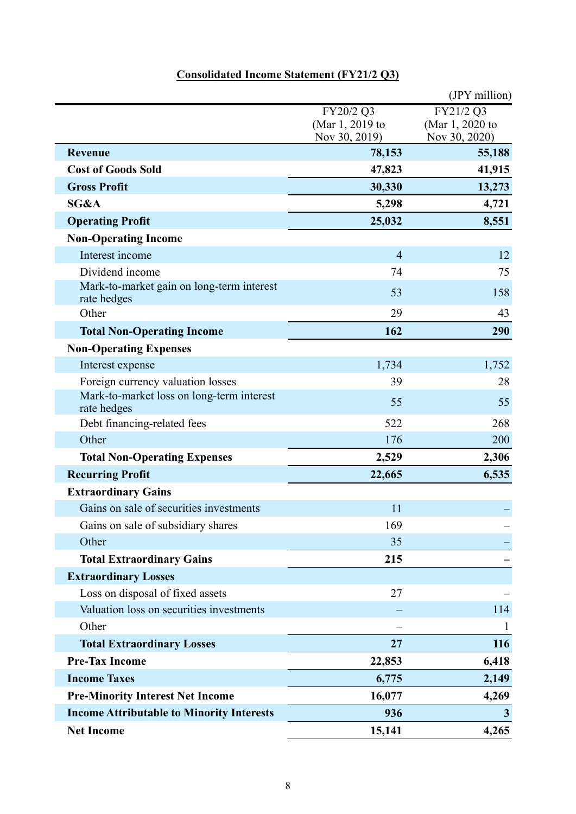# **Consolidated Income Statement (FY21/2 Q3)**

|                                                          |                                               | (JPY million)                                 |
|----------------------------------------------------------|-----------------------------------------------|-----------------------------------------------|
|                                                          | FY20/2 Q3<br>(Mar 1, 2019 to<br>Nov 30, 2019) | FY21/2 Q3<br>(Mar 1, 2020 to<br>Nov 30, 2020) |
| <b>Revenue</b>                                           | 78,153                                        | 55,188                                        |
| <b>Cost of Goods Sold</b>                                | 47,823                                        | 41,915                                        |
| <b>Gross Profit</b>                                      | 30,330                                        | 13,273                                        |
| SG&A                                                     | 5,298                                         | 4,721                                         |
| <b>Operating Profit</b>                                  | 25,032                                        | 8,551                                         |
| <b>Non-Operating Income</b>                              |                                               |                                               |
| Interest income                                          | $\overline{4}$                                | 12                                            |
| Dividend income                                          | 74                                            | 75                                            |
| Mark-to-market gain on long-term interest<br>rate hedges | 53                                            | 158                                           |
| Other                                                    | 29                                            | 43                                            |
| <b>Total Non-Operating Income</b>                        | 162                                           | 290                                           |
| <b>Non-Operating Expenses</b>                            |                                               |                                               |
| Interest expense                                         | 1,734                                         | 1,752                                         |
| Foreign currency valuation losses                        | 39                                            | 28                                            |
| Mark-to-market loss on long-term interest<br>rate hedges | 55                                            | 55                                            |
| Debt financing-related fees                              | 522                                           | 268                                           |
| Other                                                    | 176                                           | 200                                           |
| <b>Total Non-Operating Expenses</b>                      | 2,529                                         | 2,306                                         |
| <b>Recurring Profit</b>                                  | 22,665                                        | 6,535                                         |
| <b>Extraordinary Gains</b>                               |                                               |                                               |
| Gains on sale of securities investments                  | 11                                            |                                               |
| Gains on sale of subsidiary shares                       | 169                                           |                                               |
| Other                                                    | 35                                            |                                               |
| <b>Total Extraordinary Gains</b>                         | 215                                           |                                               |
| <b>Extraordinary Losses</b>                              |                                               |                                               |
| Loss on disposal of fixed assets                         | 27                                            |                                               |
| Valuation loss on securities investments                 |                                               | 114                                           |
| Other                                                    |                                               | 1                                             |
| <b>Total Extraordinary Losses</b>                        | 27                                            | 116                                           |
| <b>Pre-Tax Income</b>                                    | 22,853                                        | 6,418                                         |
| <b>Income Taxes</b>                                      | 6,775                                         | 2,149                                         |
| <b>Pre-Minority Interest Net Income</b>                  | 16,077                                        | 4,269                                         |
| <b>Income Attributable to Minority Interests</b>         | 936                                           | $\mathbf{3}$                                  |
| <b>Net Income</b>                                        | 15,141                                        | 4,265                                         |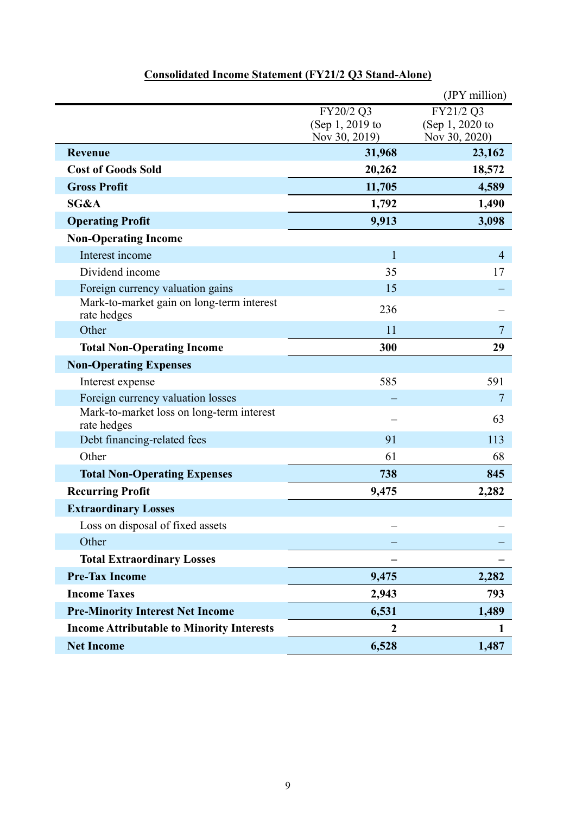|                                                                                |                                          | (JPY million)            |  |  |
|--------------------------------------------------------------------------------|------------------------------------------|--------------------------|--|--|
|                                                                                | FY20/2 Q3                                | FY21/2 Q3                |  |  |
|                                                                                | (Sep 1, 2019 to                          | (Sep 1, 2020 to          |  |  |
| <b>Revenue</b>                                                                 | Nov 30, 2019)<br>Nov 30, 2020)<br>31,968 |                          |  |  |
| <b>Cost of Goods Sold</b>                                                      | 20,262                                   | 23,162<br>18,572         |  |  |
| <b>Gross Profit</b>                                                            |                                          |                          |  |  |
|                                                                                | 11,705                                   | 4,589                    |  |  |
| SG&A                                                                           | 1,792                                    | 1,490                    |  |  |
| <b>Operating Profit</b>                                                        | 9,913                                    | 3,098                    |  |  |
| <b>Non-Operating Income</b>                                                    |                                          |                          |  |  |
| Interest income                                                                | 1                                        | $\overline{4}$           |  |  |
| Dividend income                                                                | 35                                       | 17                       |  |  |
| Foreign currency valuation gains                                               | 15                                       |                          |  |  |
| Mark-to-market gain on long-term interest<br>rate hedges                       | 236                                      |                          |  |  |
| Other                                                                          | 11                                       | $\overline{\mathcal{L}}$ |  |  |
| <b>Total Non-Operating Income</b>                                              | 300                                      | 29                       |  |  |
| <b>Non-Operating Expenses</b>                                                  |                                          |                          |  |  |
| Interest expense                                                               | 585                                      | 591                      |  |  |
| Foreign currency valuation losses<br>Mark-to-market loss on long-term interest |                                          | 7<br>63                  |  |  |
| rate hedges<br>Debt financing-related fees                                     | 91                                       | 113                      |  |  |
| Other                                                                          | 61                                       | 68                       |  |  |
|                                                                                | 738                                      | 845                      |  |  |
| <b>Total Non-Operating Expenses</b>                                            | 9,475                                    | 2,282                    |  |  |
| <b>Recurring Profit</b>                                                        |                                          |                          |  |  |
| <b>Extraordinary Losses</b>                                                    |                                          |                          |  |  |
| Loss on disposal of fixed assets                                               |                                          |                          |  |  |
| Other                                                                          |                                          |                          |  |  |
| <b>Total Extraordinary Losses</b>                                              |                                          |                          |  |  |
| <b>Pre-Tax Income</b>                                                          | 9,475                                    | 2,282                    |  |  |
| <b>Income Taxes</b>                                                            | 2,943                                    | 793                      |  |  |
| <b>Pre-Minority Interest Net Income</b>                                        | 6,531                                    | 1,489                    |  |  |
| <b>Income Attributable to Minority Interests</b>                               | $\boldsymbol{2}$                         | 1                        |  |  |
| <b>Net Income</b>                                                              | 6,528                                    | 1,487                    |  |  |

# **Consolidated Income Statement (FY21/2 Q3 Stand-Alone)**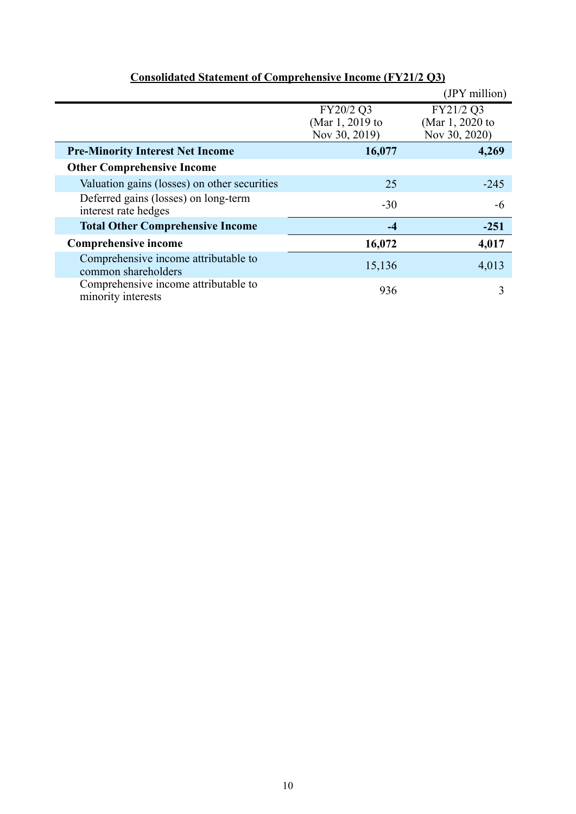|                                                              |                                               | (JPY million)                                 |
|--------------------------------------------------------------|-----------------------------------------------|-----------------------------------------------|
|                                                              | FY20/2 Q3<br>(Mar 1, 2019 to<br>Nov 30, 2019) | FY21/2 Q3<br>(Mar 1, 2020 to<br>Nov 30, 2020) |
| <b>Pre-Minority Interest Net Income</b>                      | 16,077                                        | 4,269                                         |
| <b>Other Comprehensive Income</b>                            |                                               |                                               |
| Valuation gains (losses) on other securities                 | 25                                            | $-245$                                        |
| Deferred gains (losses) on long-term<br>interest rate hedges | $-30$                                         | -6                                            |
| <b>Total Other Comprehensive Income</b>                      | $-4$                                          | $-251$                                        |
| <b>Comprehensive income</b>                                  | 16,072                                        | 4,017                                         |
| Comprehensive income attributable to<br>common shareholders  | 15,136                                        | 4,013                                         |
| Comprehensive income attributable to<br>minority interests   | 936                                           |                                               |

## **Consolidated Statement of Comprehensive Income (FY21/2 Q3)**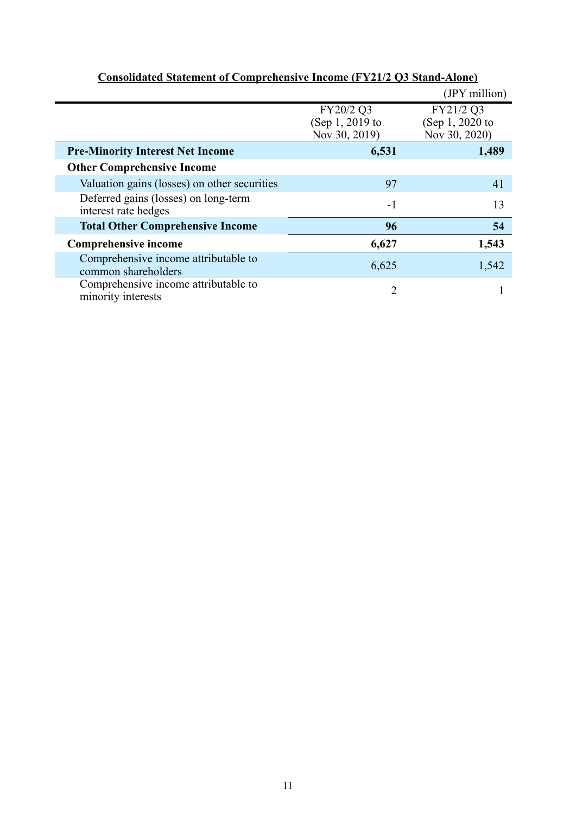|                                                              |                                               | (JPY million)                                 |
|--------------------------------------------------------------|-----------------------------------------------|-----------------------------------------------|
|                                                              | FY20/2 Q3<br>(Sep 1, 2019 to<br>Nov 30, 2019) | FY21/2 Q3<br>(Sep 1, 2020 to<br>Nov 30, 2020) |
| <b>Pre-Minority Interest Net Income</b>                      | 6,531                                         | 1,489                                         |
| <b>Other Comprehensive Income</b>                            |                                               |                                               |
| Valuation gains (losses) on other securities                 | 97                                            | 41                                            |
| Deferred gains (losses) on long-term<br>interest rate hedges | -1                                            | 13                                            |
| <b>Total Other Comprehensive Income</b>                      | 96                                            | 54                                            |
| <b>Comprehensive income</b>                                  | 6,627                                         | 1,543                                         |
| Comprehensive income attributable to<br>common shareholders  | 6,625                                         | 1,542                                         |
| Comprehensive income attributable to<br>minority interests   |                                               |                                               |

### **Consolidated Statement of Comprehensive Income (FY21/2 Q3 Stand-Alone)**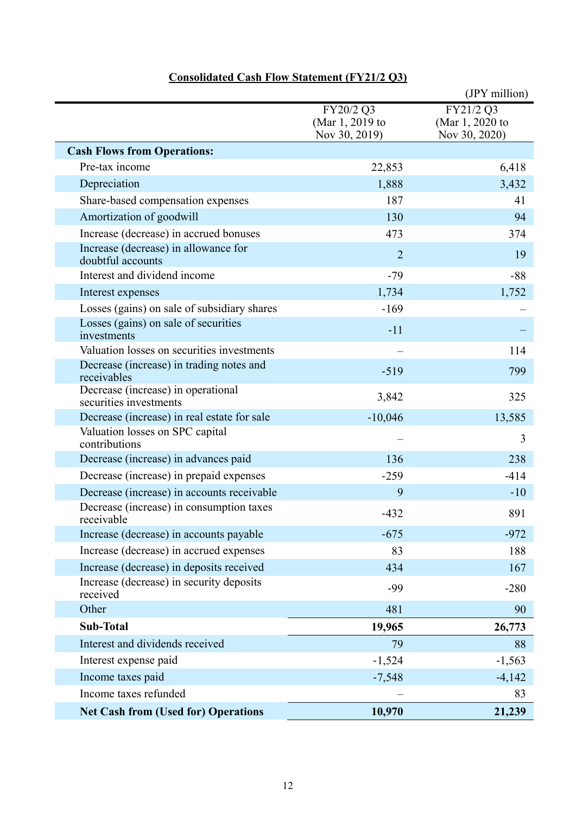|                                                              |                                               | (JPY million)                                 |  |
|--------------------------------------------------------------|-----------------------------------------------|-----------------------------------------------|--|
|                                                              | FY20/2 Q3<br>(Mar 1, 2019 to<br>Nov 30, 2019) | FY21/2 Q3<br>(Mar 1, 2020 to<br>Nov 30, 2020) |  |
| <b>Cash Flows from Operations:</b>                           |                                               |                                               |  |
| Pre-tax income                                               | 22,853                                        | 6,418                                         |  |
| Depreciation                                                 | 1,888                                         | 3,432                                         |  |
| Share-based compensation expenses                            | 187                                           | 41                                            |  |
| Amortization of goodwill                                     | 130                                           | 94                                            |  |
| Increase (decrease) in accrued bonuses                       | 473                                           | 374                                           |  |
| Increase (decrease) in allowance for<br>doubtful accounts    | $\overline{2}$                                | 19                                            |  |
| Interest and dividend income                                 | $-79$                                         | $-88$                                         |  |
| Interest expenses                                            | 1,734                                         | 1,752                                         |  |
| Losses (gains) on sale of subsidiary shares                  | $-169$                                        |                                               |  |
| Losses (gains) on sale of securities<br>investments          | $-11$                                         |                                               |  |
| Valuation losses on securities investments                   |                                               | 114                                           |  |
| Decrease (increase) in trading notes and<br>receivables      | $-519$                                        | 799                                           |  |
| Decrease (increase) in operational<br>securities investments | 3,842                                         | 325                                           |  |
| Decrease (increase) in real estate for sale                  | $-10,046$                                     | 13,585                                        |  |
| Valuation losses on SPC capital<br>contributions             |                                               | 3                                             |  |
| Decrease (increase) in advances paid                         | 136                                           | 238                                           |  |
| Decrease (increase) in prepaid expenses                      | $-259$                                        | $-414$                                        |  |
| Decrease (increase) in accounts receivable                   | 9                                             | $-10$                                         |  |
| Decrease (increase) in consumption taxes<br>receivable       | $-432$                                        | 891                                           |  |
| Increase (decrease) in accounts payable                      | $-675$                                        | $-972$                                        |  |
| Increase (decrease) in accrued expenses                      | 83                                            | 188                                           |  |
| Increase (decrease) in deposits received                     | 434                                           | 167                                           |  |
| Increase (decrease) in security deposits<br>received         | $-99$                                         | $-280$                                        |  |
| Other                                                        | 481                                           | 90                                            |  |
| <b>Sub-Total</b>                                             | 19,965                                        | 26,773                                        |  |
| Interest and dividends received                              | 79                                            | 88                                            |  |
| Interest expense paid                                        | $-1,524$                                      | $-1,563$                                      |  |
| Income taxes paid                                            | $-7,548$                                      | $-4,142$                                      |  |
| Income taxes refunded                                        |                                               | 83                                            |  |
| <b>Net Cash from (Used for) Operations</b>                   | 10,970                                        | 21,239                                        |  |

# **Consolidated Cash Flow Statement (FY21/2 Q3)**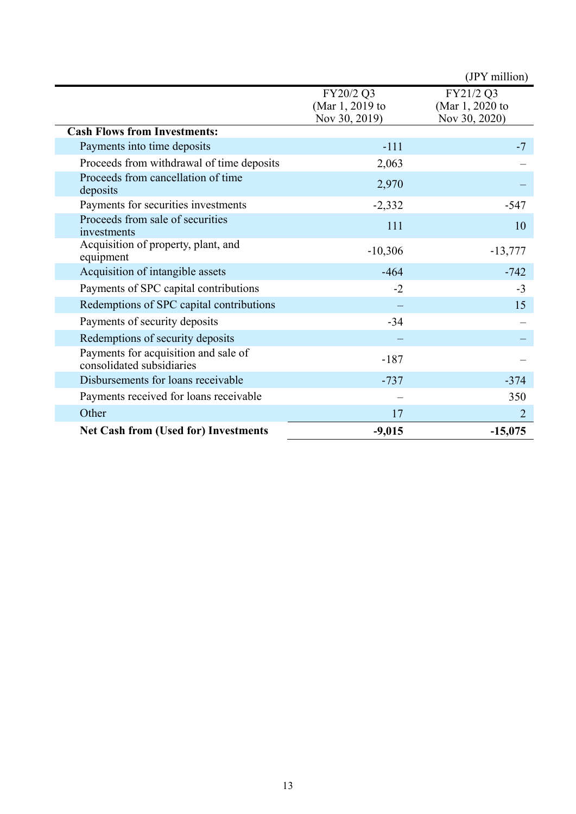|                                                                   |                                               | (JPY million)                                 |
|-------------------------------------------------------------------|-----------------------------------------------|-----------------------------------------------|
|                                                                   | FY20/2 Q3<br>(Mar 1, 2019 to<br>Nov 30, 2019) | FY21/2 Q3<br>(Mar 1, 2020 to<br>Nov 30, 2020) |
| <b>Cash Flows from Investments:</b>                               |                                               |                                               |
| Payments into time deposits                                       | $-111$                                        | $-7$                                          |
| Proceeds from withdrawal of time deposits                         | 2,063                                         |                                               |
| Proceeds from cancellation of time<br>deposits                    | 2,970                                         |                                               |
| Payments for securities investments                               | $-2,332$                                      | $-547$                                        |
| Proceeds from sale of securities<br>investments                   | 111                                           | 10                                            |
| Acquisition of property, plant, and<br>equipment                  | $-10,306$                                     | $-13,777$                                     |
| Acquisition of intangible assets                                  | $-464$                                        | $-742$                                        |
| Payments of SPC capital contributions                             | $-2$                                          | $-3$                                          |
| Redemptions of SPC capital contributions                          |                                               | 15                                            |
| Payments of security deposits                                     | $-34$                                         |                                               |
| Redemptions of security deposits                                  |                                               |                                               |
| Payments for acquisition and sale of<br>consolidated subsidiaries | $-187$                                        |                                               |
| Disbursements for loans receivable                                | $-737$                                        | $-374$                                        |
| Payments received for loans receivable                            |                                               | 350                                           |
| Other                                                             | 17                                            | $\overline{2}$                                |
| <b>Net Cash from (Used for) Investments</b>                       | $-9,015$                                      | $-15,075$                                     |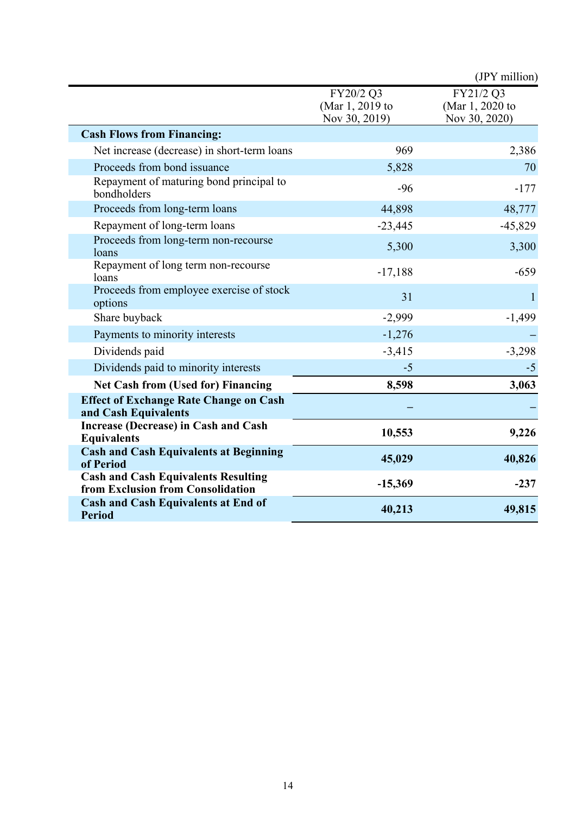|                                                                                 |                                                                                                | (JPY million) |  |  |
|---------------------------------------------------------------------------------|------------------------------------------------------------------------------------------------|---------------|--|--|
|                                                                                 | FY21/2 Q3<br>FY20/2 Q3<br>(Mar 1, 2019 to<br>(Mar 1, 2020 to<br>Nov 30, 2019)<br>Nov 30, 2020) |               |  |  |
| <b>Cash Flows from Financing:</b>                                               |                                                                                                |               |  |  |
| Net increase (decrease) in short-term loans                                     | 969                                                                                            | 2,386         |  |  |
| Proceeds from bond issuance                                                     | 5,828                                                                                          | 70            |  |  |
| Repayment of maturing bond principal to<br>bondholders                          | $-96$                                                                                          |               |  |  |
| Proceeds from long-term loans                                                   | 44,898                                                                                         | 48,777        |  |  |
| Repayment of long-term loans                                                    | $-23,445$                                                                                      | $-45,829$     |  |  |
| Proceeds from long-term non-recourse<br>loans                                   | 5,300                                                                                          | 3,300         |  |  |
| Repayment of long term non-recourse<br>loans                                    | $-17,188$                                                                                      | $-659$        |  |  |
| Proceeds from employee exercise of stock<br>options                             | 31                                                                                             | $\mathbf{1}$  |  |  |
| Share buyback                                                                   | $-2,999$                                                                                       | $-1,499$      |  |  |
| Payments to minority interests                                                  | $-1,276$                                                                                       |               |  |  |
| Dividends paid                                                                  | $-3,415$                                                                                       | $-3,298$      |  |  |
| Dividends paid to minority interests                                            | $-5$                                                                                           | $-5$          |  |  |
| <b>Net Cash from (Used for) Financing</b>                                       | 8,598                                                                                          | 3,063         |  |  |
| <b>Effect of Exchange Rate Change on Cash</b><br>and Cash Equivalents           |                                                                                                |               |  |  |
| <b>Increase (Decrease) in Cash and Cash</b><br><b>Equivalents</b>               | 10,553                                                                                         | 9,226         |  |  |
| <b>Cash and Cash Equivalents at Beginning</b><br>of Period                      | 45,029                                                                                         | 40,826        |  |  |
| <b>Cash and Cash Equivalents Resulting</b><br>from Exclusion from Consolidation | $-15,369$                                                                                      | $-237$        |  |  |
| <b>Cash and Cash Equivalents at End of</b><br><b>Period</b>                     | 40,213                                                                                         | 49,815        |  |  |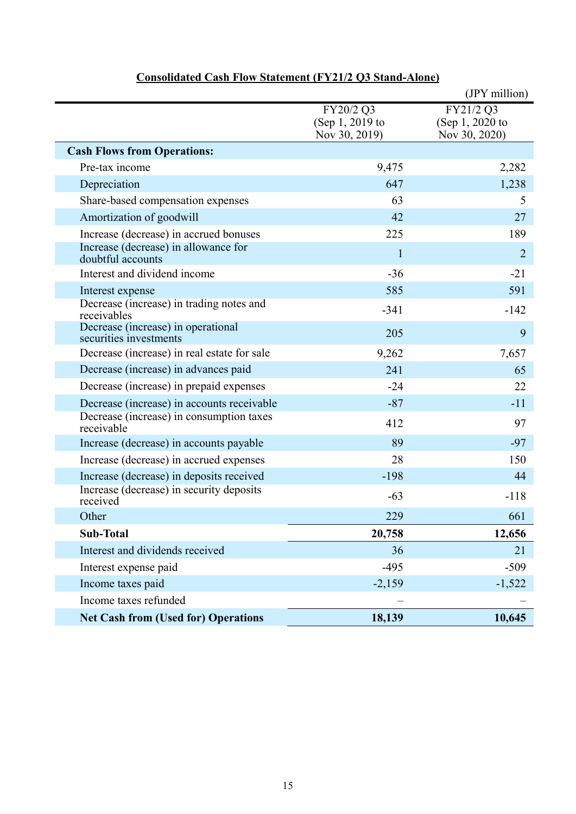|                                                                                                     |                                               | (JPY million)         |  |
|-----------------------------------------------------------------------------------------------------|-----------------------------------------------|-----------------------|--|
|                                                                                                     | FY20/2 Q3<br>(Sep 1, 2019 to<br>Nov 30, 2019) |                       |  |
| <b>Cash Flows from Operations:</b>                                                                  |                                               |                       |  |
| Pre-tax income                                                                                      | 9,475                                         | 2,282                 |  |
| Depreciation                                                                                        | 647                                           | 1,238                 |  |
| Share-based compensation expenses                                                                   | 63                                            | 5                     |  |
| Amortization of goodwill                                                                            | 42                                            | 27                    |  |
| Increase (decrease) in accrued bonuses<br>Increase (decrease) in allowance for<br>doubtful accounts | 225<br>$\mathbf{1}$                           | 189<br>$\overline{2}$ |  |
| Interest and dividend income                                                                        | $-36$                                         | $-21$                 |  |
| Interest expense                                                                                    | 585                                           | 591                   |  |
| Decrease (increase) in trading notes and<br>receivables                                             | $-341$                                        | $-142$                |  |
| Decrease (increase) in operational<br>securities investments                                        | 205                                           |                       |  |
| Decrease (increase) in real estate for sale                                                         | 9,262<br>7,657                                |                       |  |
| Decrease (increase) in advances paid                                                                | 241                                           | 65                    |  |
| Decrease (increase) in prepaid expenses                                                             | $-24$                                         | 22                    |  |
| Decrease (increase) in accounts receivable                                                          | $-87$                                         | $-11$                 |  |
| Decrease (increase) in consumption taxes<br>receivable                                              | 412                                           | 97                    |  |
| Increase (decrease) in accounts payable                                                             | 89                                            | $-97$                 |  |
| Increase (decrease) in accrued expenses                                                             | 28                                            | 150                   |  |
| Increase (decrease) in deposits received                                                            | $-198$                                        | 44                    |  |
| Increase (decrease) in security deposits<br>received                                                | $-63$                                         | $-118$                |  |
| Other                                                                                               | 229                                           | 661                   |  |
| <b>Sub-Total</b>                                                                                    | 20,758                                        | 12,656                |  |
| Interest and dividends received                                                                     | 36                                            | 21                    |  |
| Interest expense paid                                                                               | $-495$                                        | $-509$                |  |
| Income taxes paid                                                                                   | $-2,159$                                      | $-1,522$              |  |
| Income taxes refunded                                                                               |                                               |                       |  |
| <b>Net Cash from (Used for) Operations</b>                                                          | 18,139                                        | 10,645                |  |

# **Consolidated Cash Flow Statement (FY21/2 Q3 Stand-Alone)**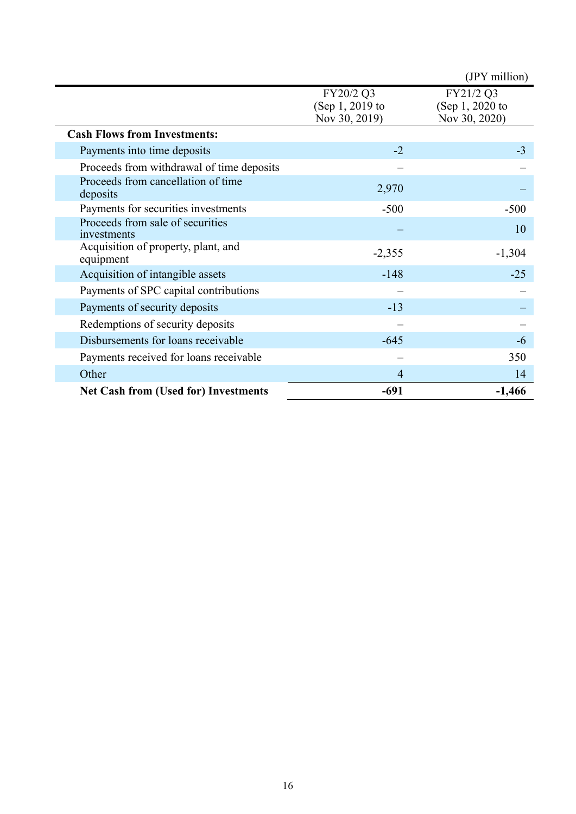|                                                  |                                               | (JPY million)                                 |
|--------------------------------------------------|-----------------------------------------------|-----------------------------------------------|
|                                                  | FY20/2 Q3<br>(Sep 1, 2019 to<br>Nov 30, 2019) | FY21/2 Q3<br>(Sep 1, 2020 to<br>Nov 30, 2020) |
| <b>Cash Flows from Investments:</b>              |                                               |                                               |
| Payments into time deposits                      | $-2$                                          | $-3$                                          |
| Proceeds from withdrawal of time deposits        |                                               |                                               |
| Proceeds from cancellation of time<br>deposits   | 2,970                                         |                                               |
| Payments for securities investments              | $-500$                                        | $-500$                                        |
| Proceeds from sale of securities<br>investments  |                                               | 10                                            |
| Acquisition of property, plant, and<br>equipment | $-2,355$                                      | $-1,304$                                      |
| Acquisition of intangible assets                 | $-148$                                        | $-25$                                         |
| Payments of SPC capital contributions            |                                               |                                               |
| Payments of security deposits                    | $-13$                                         |                                               |
| Redemptions of security deposits                 |                                               |                                               |
| Disbursements for loans receivable               | $-645$                                        | $-6$                                          |
| Payments received for loans receivable           |                                               | 350                                           |
| Other                                            | $\overline{4}$                                | 14                                            |
| <b>Net Cash from (Used for) Investments</b>      | $-691$                                        | $-1,466$                                      |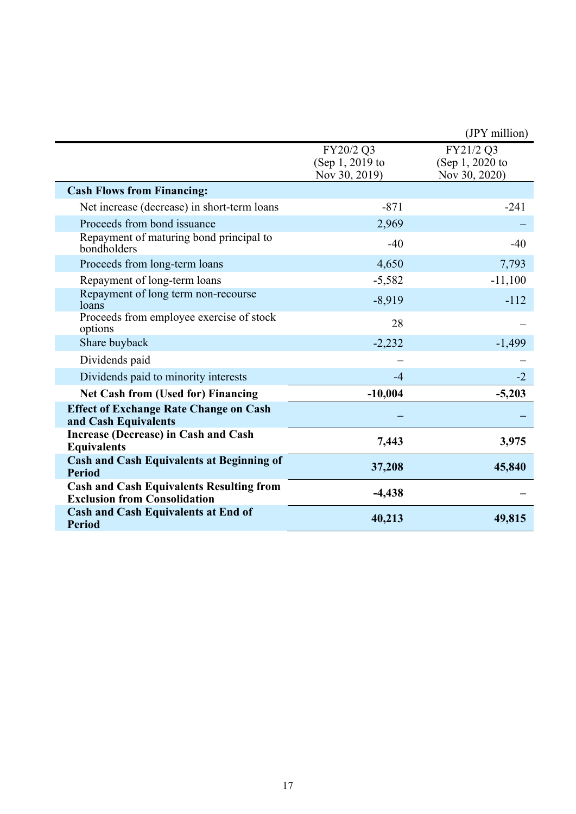|                                                                                        |                                               | (JPY million)                                 |  |
|----------------------------------------------------------------------------------------|-----------------------------------------------|-----------------------------------------------|--|
|                                                                                        | FY20/2 Q3<br>(Sep 1, 2019 to<br>Nov 30, 2019) | FY21/2 Q3<br>(Sep 1, 2020 to<br>Nov 30, 2020) |  |
| <b>Cash Flows from Financing:</b>                                                      |                                               |                                               |  |
| Net increase (decrease) in short-term loans                                            | $-871$                                        | $-241$                                        |  |
| Proceeds from bond issuance                                                            | 2,969                                         |                                               |  |
| Repayment of maturing bond principal to<br>bondholders                                 | $-40$                                         | $-40$                                         |  |
| Proceeds from long-term loans                                                          | 4,650                                         | 7,793                                         |  |
| Repayment of long-term loans                                                           | $-5,582$<br>$-11,100$                         |                                               |  |
| Repayment of long term non-recourse<br>loans                                           | $-8,919$                                      | $-112$                                        |  |
| Proceeds from employee exercise of stock<br>options                                    | 28                                            |                                               |  |
| Share buyback                                                                          | $-2,232$                                      | $-1,499$                                      |  |
| Dividends paid                                                                         |                                               |                                               |  |
| Dividends paid to minority interests                                                   | $-4$                                          | $-2$                                          |  |
| <b>Net Cash from (Used for) Financing</b>                                              | $-10,004$                                     | $-5,203$                                      |  |
| <b>Effect of Exchange Rate Change on Cash</b><br>and Cash Equivalents                  |                                               |                                               |  |
| Increase (Decrease) in Cash and Cash<br><b>Equivalents</b>                             | 7,443                                         | 3,975                                         |  |
| <b>Cash and Cash Equivalents at Beginning of</b><br><b>Period</b>                      | 37,208                                        | 45,840                                        |  |
| <b>Cash and Cash Equivalents Resulting from</b><br><b>Exclusion from Consolidation</b> | $-4,438$                                      |                                               |  |
| <b>Cash and Cash Equivalents at End of</b><br><b>Period</b>                            | 40,213                                        | 49,815                                        |  |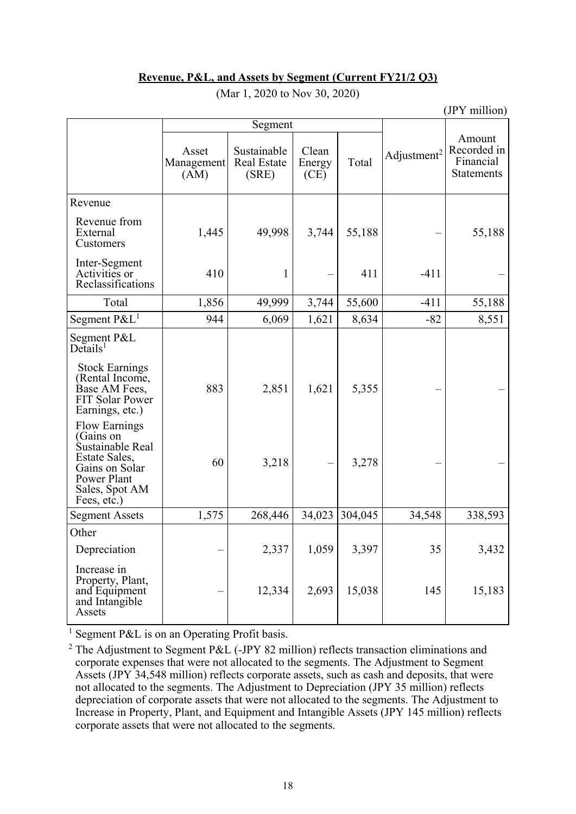### **Revenue, P&L, and Assets by Segment (Current FY21/2 Q3)**

|                                                                                                                                                                                                           |                             |                                            |                         |         | (JPY million)           |                                                         |
|-----------------------------------------------------------------------------------------------------------------------------------------------------------------------------------------------------------|-----------------------------|--------------------------------------------|-------------------------|---------|-------------------------|---------------------------------------------------------|
|                                                                                                                                                                                                           | Segment                     |                                            |                         |         |                         |                                                         |
|                                                                                                                                                                                                           | Asset<br>Management<br>(AM) | Sustainable<br><b>Real Estate</b><br>(SRE) | Clean<br>Energy<br>(CE) | Total   | Adjustment <sup>2</sup> | Amount<br>Recorded in<br>Financial<br><b>Statements</b> |
| Revenue                                                                                                                                                                                                   |                             |                                            |                         |         |                         |                                                         |
| Revenue from<br>External<br>Customers                                                                                                                                                                     | 1,445                       | 49,998                                     | 3,744                   | 55,188  |                         | 55,188                                                  |
| Inter-Segment<br>Activities or<br>Reclassifications                                                                                                                                                       | 410                         | 1                                          |                         | 411     | $-411$                  |                                                         |
| Total                                                                                                                                                                                                     | 1,856                       | 49,999                                     | 3,744                   | 55,600  | $-411$                  | 55,188                                                  |
| Segment $P\&L^1$                                                                                                                                                                                          | 944                         | 6,069                                      | 1,621                   | 8,634   | $-82$                   | 8,551                                                   |
| Segment P&L<br>$De$ tails <sup>1</sup><br><b>Stock Earnings</b><br>(Rental Income,<br>Base AM Fees,<br><b>FIT Solar Power</b><br>Earnings, etc.)<br><b>Flow Earnings</b><br>(Gains on<br>Sustainable Real | 883                         | 2,851                                      | 1,621                   | 5,355   |                         |                                                         |
| Estate Sales,<br>Gains on Solar<br>Power Plant<br>Sales, Spot AM<br>Fees, etc.)                                                                                                                           | 60                          | 3,218                                      |                         | 3,278   |                         |                                                         |
| <b>Segment Assets</b>                                                                                                                                                                                     | 1,575                       | 268,446                                    | 34,023                  | 304,045 | 34,548                  | 338,593                                                 |
| Other                                                                                                                                                                                                     |                             |                                            |                         |         |                         |                                                         |
| Depreciation                                                                                                                                                                                              |                             | 2,337                                      | 1,059                   | 3,397   | 35                      | 3,432                                                   |
| Increase in<br>Property, Plant,<br>and Equipment<br>and Intangible<br>Assets                                                                                                                              |                             | 12,334                                     | 2,693                   | 15,038  | 145                     | 15,183                                                  |

(Mar 1, 2020 to Nov 30, 2020)

<sup>1</sup> Segment P&L is on an Operating Profit basis.

<sup>2</sup> The Adjustment to Segment P&L (-JPY 82 million) reflects transaction eliminations and corporate expenses that were not allocated to the segments. The Adjustment to Segment Assets (JPY 34,548 million) reflects corporate assets, such as cash and deposits, that were not allocated to the segments. The Adjustment to Depreciation (JPY 35 million) reflects depreciation of corporate assets that were not allocated to the segments. The Adjustment to Increase in Property, Plant, and Equipment and Intangible Assets (JPY 145 million) reflects corporate assets that were not allocated to the segments.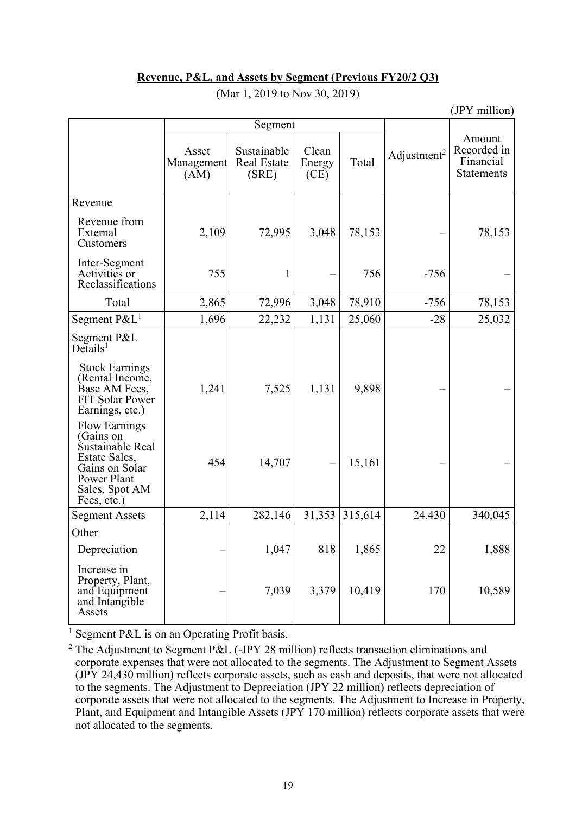### **Revenue, P&L, and Assets by Segment (Previous FY20/2 Q3)**

|                                                                                                                                          | Segment                     |                                            |                         |         |                         |                                                         |
|------------------------------------------------------------------------------------------------------------------------------------------|-----------------------------|--------------------------------------------|-------------------------|---------|-------------------------|---------------------------------------------------------|
|                                                                                                                                          | Asset<br>Management<br>(AM) | Sustainable<br><b>Real Estate</b><br>(SRE) | Clean<br>Energy<br>(CE) | Total   | Adjustment <sup>2</sup> | Amount<br>Recorded in<br>Financial<br><b>Statements</b> |
| Revenue                                                                                                                                  |                             |                                            |                         |         |                         |                                                         |
| Revenue from<br>External<br>Customers                                                                                                    | 2,109                       | 72,995                                     | 3,048                   | 78,153  |                         | 78,153                                                  |
| Inter-Segment<br>Activities or<br>Reclassifications                                                                                      | 755                         | 1                                          |                         | 756     | $-756$                  |                                                         |
| Total                                                                                                                                    | 2,865                       | 72,996                                     | 3,048                   | 78,910  | $-756$                  | 78,153                                                  |
| Segment $P\&L^1$                                                                                                                         | 1,696                       | 22,232                                     | 1,131                   | 25,060  | $-28$                   | 25,032                                                  |
| Segment P&L<br>$De$ tails <sup>1</sup>                                                                                                   |                             |                                            |                         |         |                         |                                                         |
| <b>Stock Earnings</b><br>(Rental Income,<br>Base AM Fees,<br>FIT Solar Power<br>Earnings, etc.)                                          | 1,241                       | 7,525                                      | 1,131                   | 9,898   |                         |                                                         |
| <b>Flow Earnings</b><br>(Gains on<br>Sustainable Real<br>Estate Sales,<br>Gains on Solar<br>Power Plant<br>Sales, Spot AM<br>Fees, etc.) | 454                         | 14,707                                     |                         | 15,161  |                         |                                                         |
| <b>Segment Assets</b>                                                                                                                    | 2,114                       | 282,146                                    | 31,353                  | 315,614 | 24,430                  | 340,045                                                 |
| Other                                                                                                                                    |                             |                                            |                         |         |                         |                                                         |
| Depreciation                                                                                                                             |                             | 1,047                                      | 818                     | 1,865   | 22                      | 1,888                                                   |
| Increase in<br>Property, Plant,<br>and Equipment<br>and Intangible<br>Assets                                                             |                             | 7,039                                      | 3,379                   | 10,419  | 170                     | 10,589                                                  |

(Mar 1, 2019 to Nov 30, 2019)

(JPY million)

<sup>1</sup> Segment P&L is on an Operating Profit basis.

<sup>2</sup> The Adjustment to Segment P&L (-JPY 28 million) reflects transaction eliminations and corporate expenses that were not allocated to the segments. The Adjustment to Segment Assets (JPY 24,430 million) reflects corporate assets, such as cash and deposits, that were not allocated to the segments. The Adjustment to Depreciation (JPY 22 million) reflects depreciation of corporate assets that were not allocated to the segments. The Adjustment to Increase in Property, Plant, and Equipment and Intangible Assets (JPY 170 million) reflects corporate assets that were not allocated to the segments.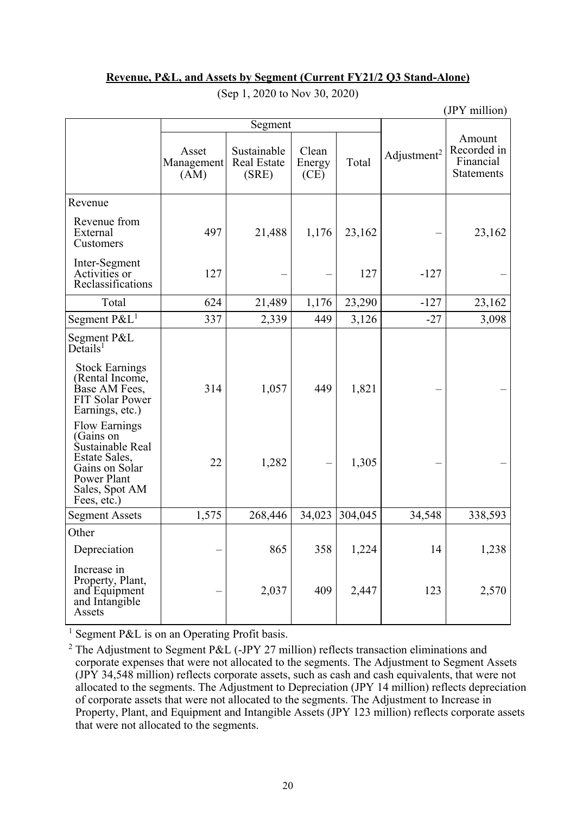|--|

|                                                                                                                                                  |                             |                                            |                         |         |                         | (JPY million)                                    |
|--------------------------------------------------------------------------------------------------------------------------------------------------|-----------------------------|--------------------------------------------|-------------------------|---------|-------------------------|--------------------------------------------------|
|                                                                                                                                                  | Segment                     |                                            |                         |         |                         |                                                  |
|                                                                                                                                                  | Asset<br>Management<br>(AM) | Sustainable<br><b>Real Estate</b><br>(SRE) | Clean<br>Energy<br>(CE) | Total   | Adjustment <sup>2</sup> | Amount<br>Recorded in<br>Financial<br>Statements |
| Revenue                                                                                                                                          |                             |                                            |                         |         |                         |                                                  |
| Revenue from<br>External<br>Customers                                                                                                            | 497                         | 21,488                                     | 1,176                   | 23,162  |                         | 23,162                                           |
| Inter-Segment<br>Activities or<br>Reclassifications                                                                                              | 127                         |                                            |                         | 127     | $-127$                  |                                                  |
| Total                                                                                                                                            | 624                         | 21,489                                     | 1,176                   | 23,290  | $-127$                  | 23,162                                           |
| Segment $P\&L^1$                                                                                                                                 | 337                         | 2,339                                      | 449                     | 3,126   | $-27$                   | 3,098                                            |
| Segment P&L<br>$De$ tails <sup>1</sup><br><b>Stock Earnings</b><br>(Rental Income,<br>Base AM Fees,<br><b>FIT Solar Power</b><br>Earnings, etc.) | 314                         | 1,057                                      | 449                     | 1,821   |                         |                                                  |
| <b>Flow Earnings</b><br>(Gains on<br>Sustainable Real<br>Estate Sales,<br>Gains on Solar<br>Power Plant<br>Sales, Spot AM<br>Fees, etc.)         | 22                          | 1,282                                      |                         | 1,305   |                         |                                                  |
| <b>Segment Assets</b>                                                                                                                            | 1,575                       | 268,446                                    | 34,023                  | 304,045 | 34,548                  | 338,593                                          |
| Other                                                                                                                                            |                             |                                            |                         |         |                         |                                                  |
| Depreciation                                                                                                                                     |                             | 865                                        | 358                     | 1,224   | 14                      | 1,238                                            |
| Increase in<br>Property, Plant,<br>and Equipment<br>and Intangible<br>Assets                                                                     |                             | 2,037                                      | 409                     | 2,447   | 123                     | 2,570                                            |

(Sep 1, 2020 to Nov 30, 2020)

<sup>1</sup> Segment P&L is on an Operating Profit basis.

<sup>2</sup> The Adjustment to Segment P&L (-JPY 27 million) reflects transaction eliminations and corporate expenses that were not allocated to the segments. The Adjustment to Segment Assets (JPY 34,548 million) reflects corporate assets, such as cash and cash equivalents, that were not allocated to the segments. The Adjustment to Depreciation (JPY 14 million) reflects depreciation of corporate assets that were not allocated to the segments. The Adjustment to Increase in Property, Plant, and Equipment and Intangible Assets (JPY 123 million) reflects corporate assets that were not allocated to the segments.